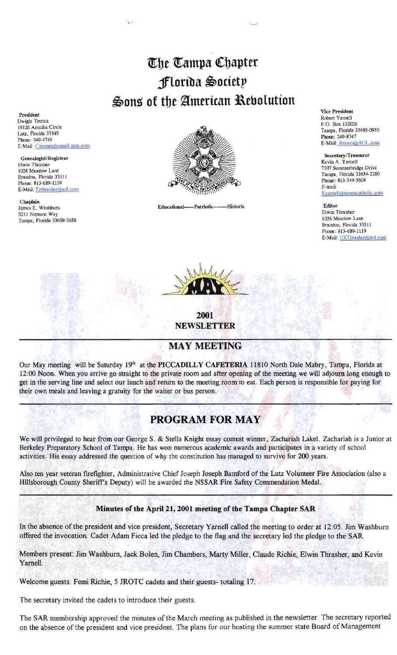# The Tampa Chapter florida Society Sons of the American Rebolution

President Dwight Tetrick 19126 Ameilia Circle Lutz, Florida 33549 Phone: 949-4746 E-Mail: Cinmurx@email.msn.com

GenealogisURegistrar Elwin Thrasher 1028 Meadow Lane Brandon, Rorida 33511 Phone: 813-689-1119 E-Mail: Erthrasher@aol.com

Chaplain<br>James E. Washburn 5211 Neptune Way Tampa, Rorida 33609-3658



Educational----Patriotic------Historic



2001 NEWSLETTER

## MAY MEETING

Our May meeting will be Saturday 19<sup>th</sup> at the PICCADILLY CAFETERIA 11810 North Dale Mabry, Tampa, Florida at 12:00 Noon. When you arrive go straight to the private room and after opening of the meeting we will adjourn long enough to get in the serving line and select our lunch and return to the meeting room to eat. Each person is responsible for paying for their own meals and leaving a gratuity tor the waiter or bus person.

## PROGRAM FOR MAY

We will privileged to hear from our George S. & Stella Knight essay contest winner, Zachariah Lake!. Zachariah is a Junior at Berkeley Preparatory School of Tampa. He has won numerous academic awards and participates in a variety of school activities. His essay addressed the question of why the constitution has managed to survive for 200 years.

Also ten year veteran firefighter, Administrative Chief Joseph Joseph Bamford of the Lutz Volunteer Fire Association (also a Hillsborough County Sheriff's Deputy) will be awarded the NSSAR Fire Safety Commendation Medal.

### Minutes of the April 21, 2001 meeting of the Tampa Chapter SAR

In the absence of the president and vice president, Secretary Yarnell called the meeting to order at 12:05. Jim Washburn offered the invocation. Cadet Adam Ficca led the pledge to the flag and the secretary led the pledge to the SAR.

Members present: Jim Washburn, Jack Bolen, Jim Chambers, Marty Miller, Claude Richie, Elwin Thrasher, and Kevin Yarnell.

Welcome guests: Femi Richie, 5 JROTC cadets and their guests- totaling 17.

The secretary invited the cadets to introduce their guests.

The SAR membership approved the minutes of the March meeting as published in the newsletter. The secretary reported on the absence of the president and vice president. The plans for our hosting the summer state Board of Management

Vice President Roben Yamell P.O. Box 132026 Tampa, Rorida 33685-0935 Phone: 249-8747 E-Mail: Rsyarn@AOL com

Secretary/Treasurcr Kevin A. Yamell *75C17* Summerbridge Drive Tampa, Florida 33634-2260 Phooe: 813-349-5608 E-mail: Kvarnell@tampacatholic.com

Editor Elwin Thrasher 1028 Meadow Lane Brandon, Florida 33511 Phone: 813-689-1119 E-Mail: ERT hrasher@aol.com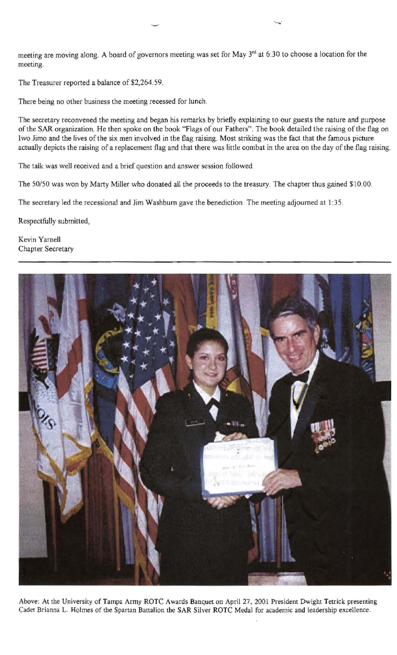meeting are moving along. A board of governors meeting was set for May  $3<sup>rd</sup>$  at 6:30 to choose a location for the meeting.

The Treasurer reported a balance of \$2,264.59.

There being no other business the meeting recessed for lunch.

The secretary reconvened the meeting and began his remarks by briefly explaining to our guests the nature and purpose of the SAR organization. He then spoke on the book "Flags of our Fathers". The book detailed the raising of the flag on lwo Jimo and the lives of the six men involved in the flag raising. Most striking was the fact that the famous picture actually depicts the raising of a replacement flag and that there was little combat in the area on the day of the flag raising.

The talk was well received and a brief question and answer session followed.

The 50/50 was won by Marty Miller who donated all the proceeds to the treasury. The chapter thus gained \$10.00.

The secretary led the recessional and Jim Washburn gave the benediction. The meeting adjourned at 1:35.

Respectfully submitted,

Kevin Yarnell Chapter Secretary



Above: At the University of Tampa Army ROTC Awards Banquet on April 27, 2001 President Dwight Tetrick presenting Cadet Brianna L. Holmes of the Spartan Battalion the SAR Silver ROTC Medal for academic and leadership excellence.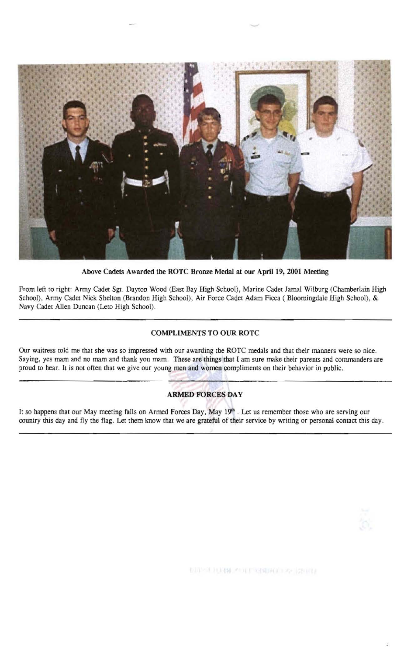

Above Cadets Awarded the ROTC Bronze Medal at our April 19, 2001 Meeting

From left to right: Army Cadet Sgt. Dayton Wood (East Bay High School), Marine Cadet Jamal Wilburg (Chamberlain High School), Army Cadet Nick Shelton (Brandon High School), Air Force Cadet Adam Ficca ( Bloomingdale High School), & Navy Cadet Allen Duncan (Leto High School).

#### COMPLIMENTS TO OUR ROTC

Our waitress told me that she was so impressed with our awarding the ROTC medals and that their manners were so nice. Saying, yes mam and no mam and thank you mam. These are things that I am sure make their parents and commanders are proud to hear. It is not often that we give our young men and women compliments on their behavior in public.

#### ARMED FORCES DAY

It so happens that our May meeting falls on Armed Forces Day, May 19<sup>th</sup>. Let us remember those who are serving our country this day and fly the flag. Let them know that we are grateful of their service by writing or personal contact this day.



信用性 具材料 不可行 自幼的过去分词的现在分词